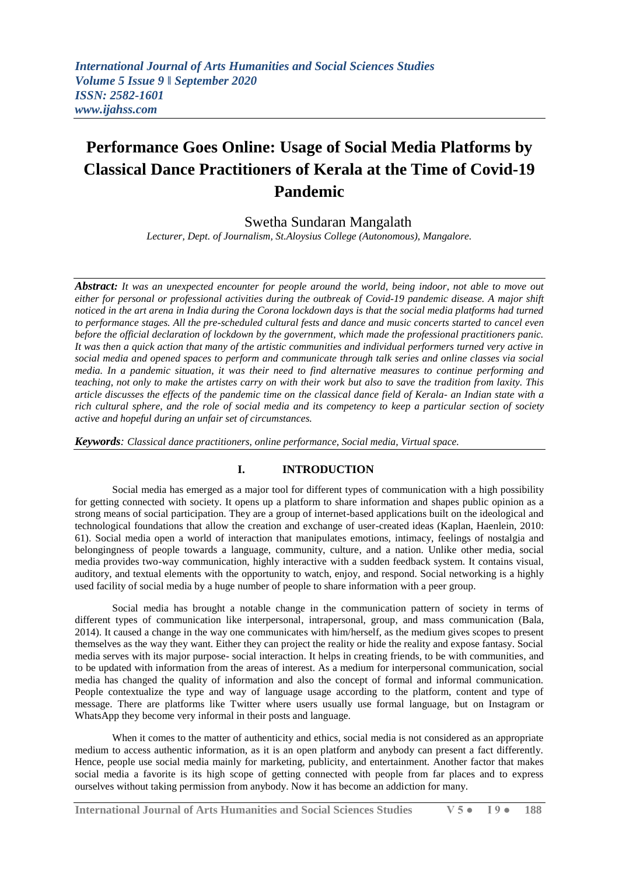# **Performance Goes Online: Usage of Social Media Platforms by Classical Dance Practitioners of Kerala at the Time of Covid-19 Pandemic**

# Swetha Sundaran Mangalath

*Lecturer, Dept. of Journalism, St.Aloysius College (Autonomous), Mangalore.*

*Abstract: It was an unexpected encounter for people around the world, being indoor, not able to move out either for personal or professional activities during the outbreak of Covid-19 pandemic disease. A major shift noticed in the art arena in India during the Corona lockdown days is that the social media platforms had turned to performance stages. All the pre-scheduled cultural fests and dance and music concerts started to cancel even before the official declaration of lockdown by the government, which made the professional practitioners panic. It was then a quick action that many of the artistic communities and individual performers turned very active in social media and opened spaces to perform and communicate through talk series and online classes via social media. In a pandemic situation, it was their need to find alternative measures to continue performing and teaching, not only to make the artistes carry on with their work but also to save the tradition from laxity. This article discusses the effects of the pandemic time on the classical dance field of Kerala- an Indian state with a rich cultural sphere, and the role of social media and its competency to keep a particular section of society active and hopeful during an unfair set of circumstances.*

*Keywords: Classical dance practitioners, online performance, Social media, Virtual space.* 

# **I. INTRODUCTION**

Social media has emerged as a major tool for different types of communication with a high possibility for getting connected with society. It opens up a platform to share information and shapes public opinion as a strong means of social participation. They are a group of internet-based applications built on the ideological and technological foundations that allow the creation and exchange of user-created ideas (Kaplan, Haenlein, 2010: 61). Social media open a world of interaction that manipulates emotions, intimacy, feelings of nostalgia and belongingness of people towards a language, community, culture, and a nation. Unlike other media, social media provides two-way communication, highly interactive with a sudden feedback system. It contains visual, auditory, and textual elements with the opportunity to watch, enjoy, and respond. Social networking is a highly used facility of social media by a huge number of people to share information with a peer group.

Social media has brought a notable change in the communication pattern of society in terms of different types of communication like interpersonal, intrapersonal, group, and mass communication (Bala, 2014). It caused a change in the way one communicates with him/herself, as the medium gives scopes to present themselves as the way they want. Either they can project the reality or hide the reality and expose fantasy. Social media serves with its major purpose- social interaction. It helps in creating friends, to be with communities, and to be updated with information from the areas of interest. As a medium for interpersonal communication, social media has changed the quality of information and also the concept of formal and informal communication. People contextualize the type and way of language usage according to the platform, content and type of message. There are platforms like Twitter where users usually use formal language, but on Instagram or WhatsApp they become very informal in their posts and language.

When it comes to the matter of authenticity and ethics, social media is not considered as an appropriate medium to access authentic information, as it is an open platform and anybody can present a fact differently. Hence, people use social media mainly for marketing, publicity, and entertainment. Another factor that makes social media a favorite is its high scope of getting connected with people from far places and to express ourselves without taking permission from anybody. Now it has become an addiction for many.

**International Journal of Arts Humanities and Social Sciences Studies V 5 ● I 9 ● 188**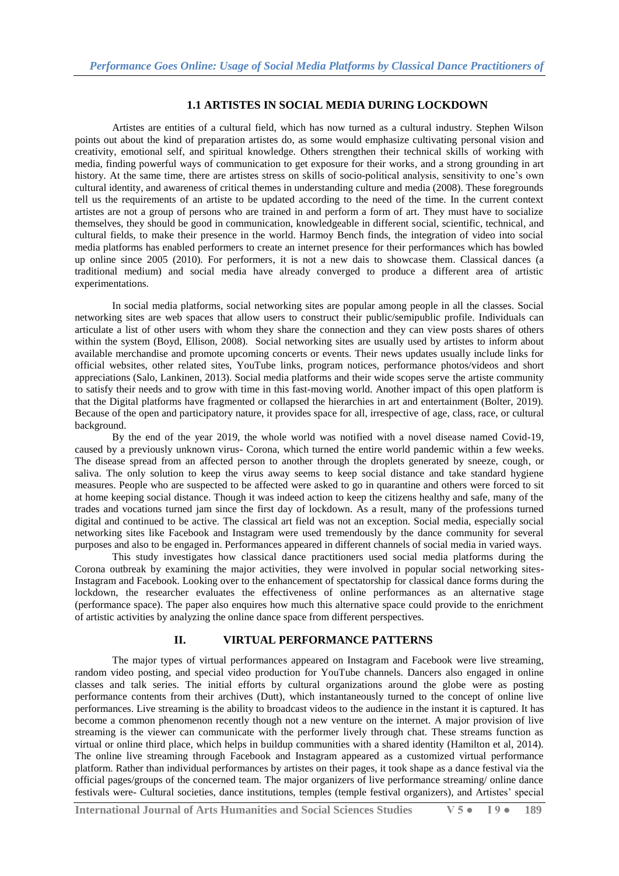#### **1.1 ARTISTES IN SOCIAL MEDIA DURING LOCKDOWN**

Artistes are entities of a cultural field, which has now turned as a cultural industry. Stephen Wilson points out about the kind of preparation artistes do, as some would emphasize cultivating personal vision and creativity, emotional self, and spiritual knowledge. Others strengthen their technical skills of working with media, finding powerful ways of communication to get exposure for their works, and a strong grounding in art history. At the same time, there are artistes stress on skills of socio-political analysis, sensitivity to one's own cultural identity, and awareness of critical themes in understanding culture and media (2008). These foregrounds tell us the requirements of an artiste to be updated according to the need of the time. In the current context artistes are not a group of persons who are trained in and perform a form of art. They must have to socialize themselves, they should be good in communication, knowledgeable in different social, scientific, technical, and cultural fields, to make their presence in the world. Harmoy Bench finds, the integration of video into social media platforms has enabled performers to create an internet presence for their performances which has bowled up online since 2005 (2010). For performers, it is not a new dais to showcase them. Classical dances (a traditional medium) and social media have already converged to produce a different area of artistic experimentations.

In social media platforms, social networking sites are popular among people in all the classes. Social networking sites are web spaces that allow users to construct their public/semipublic profile. Individuals can articulate a list of other users with whom they share the connection and they can view posts shares of others within the system (Boyd, Ellison, 2008). Social networking sites are usually used by artistes to inform about available merchandise and promote upcoming concerts or events. Their news updates usually include links for official websites, other related sites, YouTube links, program notices, performance photos/videos and short appreciations (Salo, Lankinen, 2013). Social media platforms and their wide scopes serve the artiste community to satisfy their needs and to grow with time in this fast-moving world. Another impact of this open platform is that the Digital platforms have fragmented or collapsed the hierarchies in art and entertainment (Bolter, 2019). Because of the open and participatory nature, it provides space for all, irrespective of age, class, race, or cultural background.

By the end of the year 2019, the whole world was notified with a novel disease named Covid-19, caused by a previously unknown virus- Corona, which turned the entire world pandemic within a few weeks. The disease spread from an affected person to another through the droplets generated by sneeze, cough, or saliva. The only solution to keep the virus away seems to keep social distance and take standard hygiene measures. People who are suspected to be affected were asked to go in quarantine and others were forced to sit at home keeping social distance. Though it was indeed action to keep the citizens healthy and safe, many of the trades and vocations turned jam since the first day of lockdown. As a result, many of the professions turned digital and continued to be active. The classical art field was not an exception. Social media, especially social networking sites like Facebook and Instagram were used tremendously by the dance community for several purposes and also to be engaged in. Performances appeared in different channels of social media in varied ways.

This study investigates how classical dance practitioners used social media platforms during the Corona outbreak by examining the major activities, they were involved in popular social networking sites-Instagram and Facebook. Looking over to the enhancement of spectatorship for classical dance forms during the lockdown, the researcher evaluates the effectiveness of online performances as an alternative stage (performance space). The paper also enquires how much this alternative space could provide to the enrichment of artistic activities by analyzing the online dance space from different perspectives.

#### **II. VIRTUAL PERFORMANCE PATTERNS**

The major types of virtual performances appeared on Instagram and Facebook were live streaming, random video posting, and special video production for YouTube channels. Dancers also engaged in online classes and talk series. The initial efforts by cultural organizations around the globe were as posting performance contents from their archives (Dutt), which instantaneously turned to the concept of online live performances. Live streaming is the ability to broadcast videos to the audience in the instant it is captured. It has become a common phenomenon recently though not a new venture on the internet. A major provision of live streaming is the viewer can communicate with the performer lively through chat. These streams function as virtual or online third place, which helps in buildup communities with a shared identity (Hamilton et al, 2014). The online live streaming through Facebook and Instagram appeared as a customized virtual performance platform. Rather than individual performances by artistes on their pages, it took shape as a dance festival via the official pages/groups of the concerned team. The major organizers of live performance streaming/ online dance festivals were- Cultural societies, dance institutions, temples (temple festival organizers), and Artistes" special

**International Journal of Arts Humanities and Social Sciences Studies V 5 ● I 9 ● 189**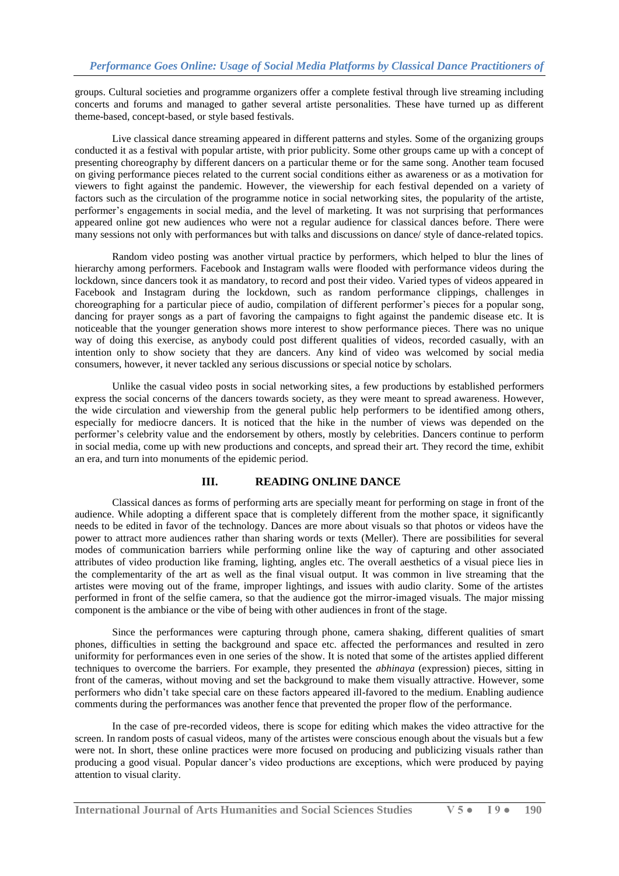groups. Cultural societies and programme organizers offer a complete festival through live streaming including concerts and forums and managed to gather several artiste personalities. These have turned up as different theme-based, concept-based, or style based festivals.

Live classical dance streaming appeared in different patterns and styles. Some of the organizing groups conducted it as a festival with popular artiste, with prior publicity. Some other groups came up with a concept of presenting choreography by different dancers on a particular theme or for the same song. Another team focused on giving performance pieces related to the current social conditions either as awareness or as a motivation for viewers to fight against the pandemic. However, the viewership for each festival depended on a variety of factors such as the circulation of the programme notice in social networking sites, the popularity of the artiste, performer"s engagements in social media, and the level of marketing. It was not surprising that performances appeared online got new audiences who were not a regular audience for classical dances before. There were many sessions not only with performances but with talks and discussions on dance/ style of dance-related topics.

Random video posting was another virtual practice by performers, which helped to blur the lines of hierarchy among performers. Facebook and Instagram walls were flooded with performance videos during the lockdown, since dancers took it as mandatory, to record and post their video. Varied types of videos appeared in Facebook and Instagram during the lockdown, such as random performance clippings, challenges in choreographing for a particular piece of audio, compilation of different performer"s pieces for a popular song, dancing for prayer songs as a part of favoring the campaigns to fight against the pandemic disease etc. It is noticeable that the younger generation shows more interest to show performance pieces. There was no unique way of doing this exercise, as anybody could post different qualities of videos, recorded casually, with an intention only to show society that they are dancers. Any kind of video was welcomed by social media consumers, however, it never tackled any serious discussions or special notice by scholars.

Unlike the casual video posts in social networking sites, a few productions by established performers express the social concerns of the dancers towards society, as they were meant to spread awareness. However, the wide circulation and viewership from the general public help performers to be identified among others, especially for mediocre dancers. It is noticed that the hike in the number of views was depended on the performer"s celebrity value and the endorsement by others, mostly by celebrities. Dancers continue to perform in social media, come up with new productions and concepts, and spread their art. They record the time, exhibit an era, and turn into monuments of the epidemic period.

#### **III. READING ONLINE DANCE**

Classical dances as forms of performing arts are specially meant for performing on stage in front of the audience. While adopting a different space that is completely different from the mother space, it significantly needs to be edited in favor of the technology. Dances are more about visuals so that photos or videos have the power to attract more audiences rather than sharing words or texts (Meller). There are possibilities for several modes of communication barriers while performing online like the way of capturing and other associated attributes of video production like framing, lighting, angles etc. The overall aesthetics of a visual piece lies in the complementarity of the art as well as the final visual output. It was common in live streaming that the artistes were moving out of the frame, improper lightings, and issues with audio clarity. Some of the artistes performed in front of the selfie camera, so that the audience got the mirror-imaged visuals. The major missing component is the ambiance or the vibe of being with other audiences in front of the stage.

Since the performances were capturing through phone, camera shaking, different qualities of smart phones, difficulties in setting the background and space etc. affected the performances and resulted in zero uniformity for performances even in one series of the show. It is noted that some of the artistes applied different techniques to overcome the barriers. For example, they presented the *abhinaya* (expression) pieces, sitting in front of the cameras, without moving and set the background to make them visually attractive. However, some performers who didn"t take special care on these factors appeared ill-favored to the medium. Enabling audience comments during the performances was another fence that prevented the proper flow of the performance.

In the case of pre-recorded videos, there is scope for editing which makes the video attractive for the screen. In random posts of casual videos, many of the artistes were conscious enough about the visuals but a few were not. In short, these online practices were more focused on producing and publicizing visuals rather than producing a good visual. Popular dancer"s video productions are exceptions, which were produced by paying attention to visual clarity.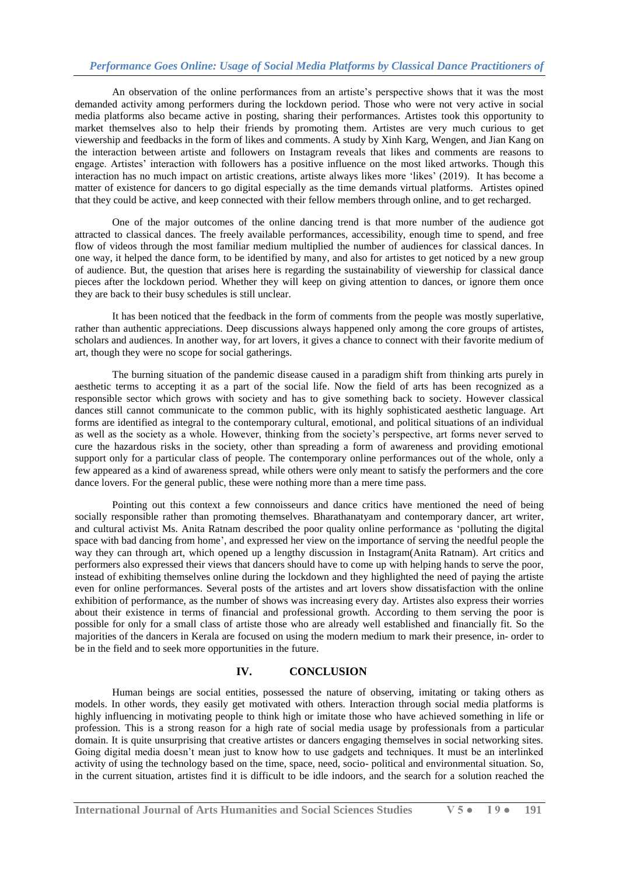## *Performance Goes Online: Usage of Social Media Platforms by Classical Dance Practitioners of*

An observation of the online performances from an artiste's perspective shows that it was the most demanded activity among performers during the lockdown period. Those who were not very active in social media platforms also became active in posting, sharing their performances. Artistes took this opportunity to market themselves also to help their friends by promoting them. Artistes are very much curious to get viewership and feedbacks in the form of likes and comments. A study by Xinh Karg, Wengen, and Jian Kang on the interaction between artiste and followers on Instagram reveals that likes and comments are reasons to engage. Artistes" interaction with followers has a positive influence on the most liked artworks. Though this interaction has no much impact on artistic creations, artiste always likes more "likes" (2019). It has become a matter of existence for dancers to go digital especially as the time demands virtual platforms. Artistes opined that they could be active, and keep connected with their fellow members through online, and to get recharged.

One of the major outcomes of the online dancing trend is that more number of the audience got attracted to classical dances. The freely available performances, accessibility, enough time to spend, and free flow of videos through the most familiar medium multiplied the number of audiences for classical dances. In one way, it helped the dance form, to be identified by many, and also for artistes to get noticed by a new group of audience. But, the question that arises here is regarding the sustainability of viewership for classical dance pieces after the lockdown period. Whether they will keep on giving attention to dances, or ignore them once they are back to their busy schedules is still unclear.

It has been noticed that the feedback in the form of comments from the people was mostly superlative, rather than authentic appreciations. Deep discussions always happened only among the core groups of artistes, scholars and audiences. In another way, for art lovers, it gives a chance to connect with their favorite medium of art, though they were no scope for social gatherings.

The burning situation of the pandemic disease caused in a paradigm shift from thinking arts purely in aesthetic terms to accepting it as a part of the social life. Now the field of arts has been recognized as a responsible sector which grows with society and has to give something back to society. However classical dances still cannot communicate to the common public, with its highly sophisticated aesthetic language. Art forms are identified as integral to the contemporary cultural, emotional, and political situations of an individual as well as the society as a whole. However, thinking from the society"s perspective, art forms never served to cure the hazardous risks in the society, other than spreading a form of awareness and providing emotional support only for a particular class of people. The contemporary online performances out of the whole, only a few appeared as a kind of awareness spread, while others were only meant to satisfy the performers and the core dance lovers. For the general public, these were nothing more than a mere time pass.

Pointing out this context a few connoisseurs and dance critics have mentioned the need of being socially responsible rather than promoting themselves. Bharathanatyam and contemporary dancer, art writer, and cultural activist Ms. Anita Ratnam described the poor quality online performance as "polluting the digital space with bad dancing from home", and expressed her view on the importance of serving the needful people the way they can through art, which opened up a lengthy discussion in Instagram(Anita Ratnam). Art critics and performers also expressed their views that dancers should have to come up with helping hands to serve the poor, instead of exhibiting themselves online during the lockdown and they highlighted the need of paying the artiste even for online performances. Several posts of the artistes and art lovers show dissatisfaction with the online exhibition of performance, as the number of shows was increasing every day. Artistes also express their worries about their existence in terms of financial and professional growth. According to them serving the poor is possible for only for a small class of artiste those who are already well established and financially fit. So the majorities of the dancers in Kerala are focused on using the modern medium to mark their presence, in- order to be in the field and to seek more opportunities in the future.

## **IV. CONCLUSION**

Human beings are social entities, possessed the nature of observing, imitating or taking others as models. In other words, they easily get motivated with others. Interaction through social media platforms is highly influencing in motivating people to think high or imitate those who have achieved something in life or profession. This is a strong reason for a high rate of social media usage by professionals from a particular domain. It is quite unsurprising that creative artistes or dancers engaging themselves in social networking sites. Going digital media doesn"t mean just to know how to use gadgets and techniques. It must be an interlinked activity of using the technology based on the time, space, need, socio- political and environmental situation. So, in the current situation, artistes find it is difficult to be idle indoors, and the search for a solution reached the